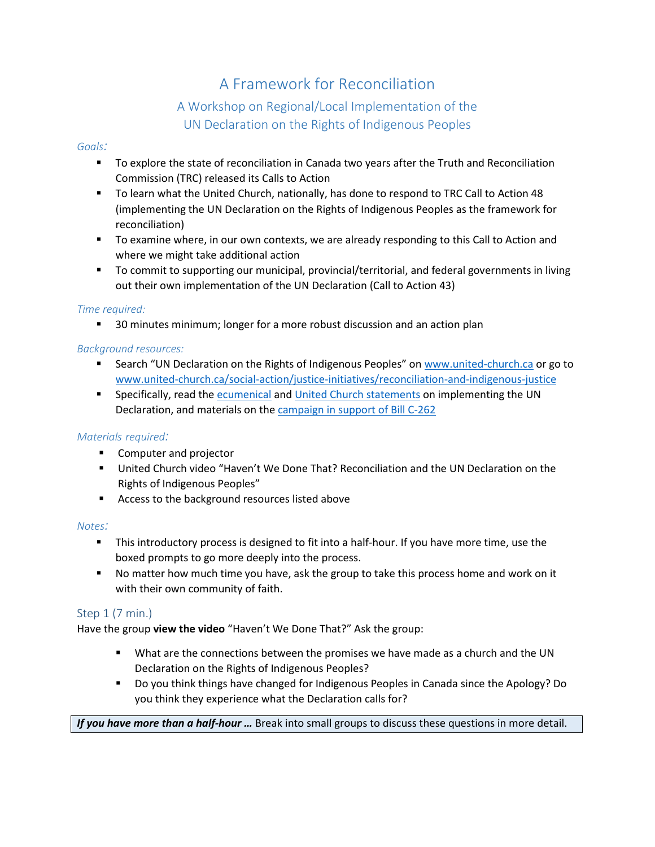# A Framework for Reconciliation

# A Workshop on Regional/Local Implementation of the UN Declaration on the Rights of Indigenous Peoples

#### *Goals:*

- To explore the state of reconciliation in Canada two years after the Truth and Reconciliation Commission (TRC) released its Calls to Action
- To learn what the United Church, nationally, has done to respond to TRC Call to Action 48 (implementing the UN Declaration on the Rights of Indigenous Peoples as the framework for reconciliation)
- To examine where, in our own contexts, we are already responding to this Call to Action and where we might take additional action
- **The Commit to supporting our municipal, provincial/territorial, and federal governments in living** out their own implementation of the UN Declaration (Call to Action 43)

#### *Time required:*

**30 minutes minimum; longer for a more robust discussion and an action plan** 

#### *Background resources:*

- **Search "UN Declaration on the Rights of Indigenous Peoples" on [www.united-church.ca](http://www.united-church.ca/) or go to** [www.united-church.ca/social-action/justice-initiatives/reconciliation-and-indigenous-justice](http://www.united-church.ca/social-action/justice-initiatives/reconciliation-and-indigenous-justice)
- **Specifically, read the [ecumenical](http://www.united-church.ca/news/release-ecumenical-statement-un-declaration) an[d United Church statements](http://www.united-church.ca/news/living-out-un-declaration-rights-indigenous-peoples) on implementing the UN** Declaration, and materials on the [campaign in support of](https://www.kairoscanada.org/what-we-do/indigenous-rights/undrip-campaign) Bill C-262

#### *Materials required:*

- **Computer and projector**
- United Church video "Haven't We Done That? Reconciliation and the UN Declaration on the Rights of Indigenous Peoples"
- **Access to the background resources listed above**

#### *Notes:*

- This introductory process is designed to fit into a half-hour. If you have more time, use the boxed prompts to go more deeply into the process.
- **No matter how much time you have, ask the group to take this process home and work on it** with their own community of faith.

#### Step 1 (7 min.)

Have the group **view the video** "Haven't We Done That?" Ask the group:

- What are the connections between the promises we have made as a church and the UN Declaration on the Rights of Indigenous Peoples?
- Do you think things have changed for Indigenous Peoples in Canada since the Apology? Do you think they experience what the Declaration calls for?

#### *If you have more than a half-hour …* Break into small groups to discuss these questions in more detail.